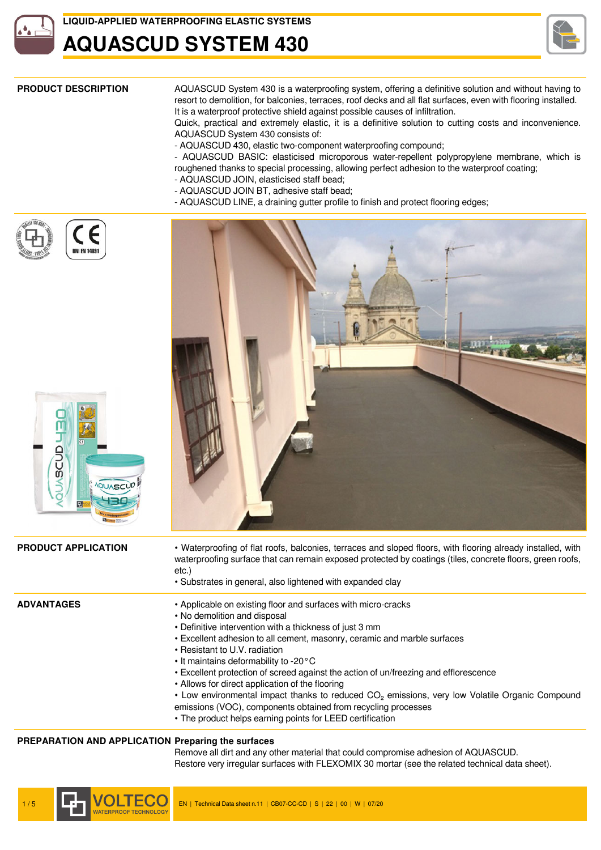

### **LIQUID-APPLIED WATERPROOFING ELASTIC SYSTEMS**

### **AQUASCUD SYSTEM 430**



**PRODUCT DESCRIPTION** AQUASCUD System 430 is a waterproofing system, offering a definitive solution and without having to resort to demolition, for balconies, terraces, roof decks and all flat surfaces, even with flooring installed. It is a waterproof protective shield against possible causes of infiltration.

Quick, practical and extremely elastic, it is a definitive solution to cutting costs and inconvenience. AQUASCUD System 430 consists of:

- AQUASCUD 430, elastic two-component waterproofing compound;

- AQUASCUD BASIC: elasticised microporous water-repellent polypropylene membrane, which is roughened thanks to special processing, allowing perfect adhesion to the waterproof coating;

- AQUASCUD JOIN, elasticised staff bead;
- AQUASCUD JOIN BT, adhesive staff bead;
- AQUASCUD LINE, a draining gutter profile to finish and protect flooring edges;



SCUD



**PRODUCT APPLICATION** • Waterproofing of flat roofs, balconies, terraces and sloped floors, with flooring already installed, with waterproofing surface that can remain exposed protected by coatings (tiles, concrete floors, green roofs, etc.) • Substrates in general, also lightened with expanded clay **ADVANTAGES** • Applicable on existing floor and surfaces with micro-cracks • No demolition and disposal • Definitive intervention with a thickness of just 3 mm • Excellent adhesion to all cement, masonry, ceramic and marble surfaces

- 
- Resistant to U.V. radiation
- It maintains deformability to -20°C
- Excellent protection of screed against the action of un/freezing and efflorescence
- Allows for direct application of the flooring
- Low environmental impact thanks to reduced CO<sub>2</sub> emissions, very low Volatile Organic Compound
- emissions (VOC), components obtained from recycling processes
- The product helps earning points for LEED certification

### **PREPARATION AND APPLICATION Preparing the surfaces**

Remove all dirt and any other material that could compromise adhesion of AQUASCUD. Restore very irregular surfaces with FLEXOMIX 30 mortar (see the related technical data sheet).

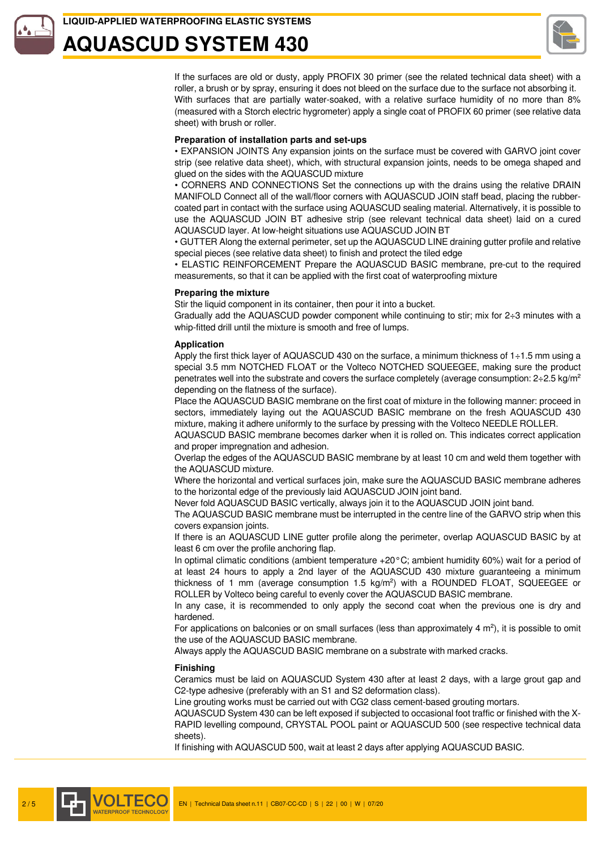### **LIQUID-APPLIED WATERPROOFING ELASTIC SYSTEMS**

## **AQUASCUD SYSTEM 430**



If the surfaces are old or dusty, apply PROFIX 30 primer (see the related technical data sheet) with a roller, a brush or by spray, ensuring it does not bleed on the surface due to the surface not absorbing it. With surfaces that are partially water-soaked, with a relative surface humidity of no more than 8% (measured with a Storch electric hygrometer) apply a single coat of PROFIX 60 primer (see relative data sheet) with brush or roller.

#### **Preparation of installation parts and set-ups**

• EXPANSION JOINTS Any expansion joints on the surface must be covered with GARVO joint cover strip (see relative data sheet), which, with structural expansion joints, needs to be omega shaped and glued on the sides with the AQUASCUD mixture

• CORNERS AND CONNECTIONS Set the connections up with the drains using the relative DRAIN MANIFOLD Connect all of the wall/floor corners with AQUASCUD JOIN staff bead, placing the rubbercoated part in contact with the surface using AQUASCUD sealing material. Alternatively, it is possible to use the AQUASCUD JOIN BT adhesive strip (see relevant technical data sheet) laid on a cured AQUASCUD layer. At low-height situations use AQUASCUD JOIN BT

• GUTTER Along the external perimeter, set up the AQUASCUD LINE draining gutter profile and relative special pieces (see relative data sheet) to finish and protect the tiled edge

• ELASTIC REINFORCEMENT Prepare the AQUASCUD BASIC membrane, pre-cut to the required measurements, so that it can be applied with the first coat of waterproofing mixture

#### **Preparing the mixture**

Stir the liquid component in its container, then pour it into a bucket.

Gradually add the AQUASCUD powder component while continuing to stir; mix for  $2\div 3$  minutes with a whip-fitted drill until the mixture is smooth and free of lumps.

#### **Application**

Apply the first thick layer of AQUASCUD 430 on the surface, a minimum thickness of  $1\div 1.5$  mm using a special 3.5 mm NOTCHED FLOAT or the Volteco NOTCHED SQUEEGEE, making sure the product penetrates well into the substrate and covers the surface completely (average consumption:  $2 \div 2.5$  kg/m<sup>2</sup> depending on the flatness of the surface).

Place the AQUASCUD BASIC membrane on the first coat of mixture in the following manner: proceed in sectors, immediately laying out the AQUASCUD BASIC membrane on the fresh AQUASCUD 430 mixture, making it adhere uniformly to the surface by pressing with the Volteco NEEDLE ROLLER.

AQUASCUD BASIC membrane becomes darker when it is rolled on. This indicates correct application and proper impregnation and adhesion.

Overlap the edges of the AQUASCUD BASIC membrane by at least 10 cm and weld them together with the AQUASCUD mixture.

Where the horizontal and vertical surfaces join, make sure the AQUASCUD BASIC membrane adheres to the horizontal edge of the previously laid AQUASCUD JOIN joint band.

Never fold AQUASCUD BASIC vertically, always join it to the AQUASCUD JOIN joint band.

The AQUASCUD BASIC membrane must be interrupted in the centre line of the GARVO strip when this covers expansion joints.

If there is an AQUASCUD LINE gutter profile along the perimeter, overlap AQUASCUD BASIC by at least 6 cm over the profile anchoring flap.

In optimal climatic conditions (ambient temperature +20°C; ambient humidity 60%) wait for a period of at least 24 hours to apply a 2nd layer of the AQUASCUD 430 mixture guaranteeing a minimum thickness of 1 mm (average consumption 1.5 kg/m²) with a ROUNDED FLOAT, SQUEEGEE or ROLLER by Volteco being careful to evenly cover the AQUASCUD BASIC membrane.

In any case, it is recommended to only apply the second coat when the previous one is dry and hardened.

For applications on balconies or on small surfaces (less than approximately 4  $m<sup>2</sup>$ ), it is possible to omit the use of the AQUASCUD BASIC membrane.

Always apply the AQUASCUD BASIC membrane on a substrate with marked cracks.

#### **Finishing**

Ceramics must be laid on AQUASCUD System 430 after at least 2 days, with a large grout gap and C2-type adhesive (preferably with an S1 and S2 deformation class).

Line grouting works must be carried out with CG2 class cement-based grouting mortars.

AQUASCUD System 430 can be left exposed if subjected to occasional foot traffic or finished with the X-RAPID levelling compound, CRYSTAL POOL paint or AQUASCUD 500 (see respective technical data sheets).

If finishing with AQUASCUD 500, wait at least 2 days after applying AQUASCUD BASIC.

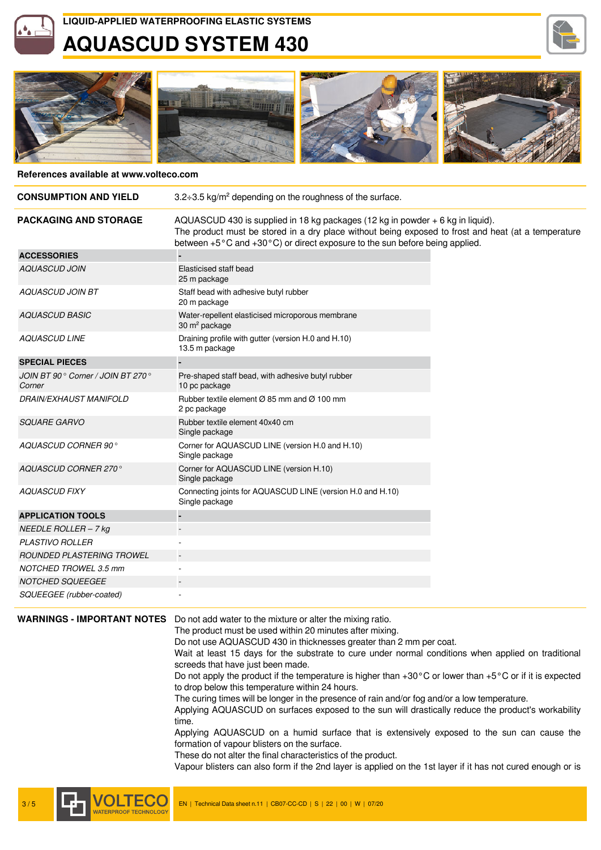## **AQUASCUD SYSTEM 430**





#### **References available at www.volteco.com**

| <b>CONSUMPTION AND YIELD</b>                | 3.2÷3.5 kg/m <sup>2</sup> depending on the roughness of the surface.                                                                                                                                                                                                 |
|---------------------------------------------|----------------------------------------------------------------------------------------------------------------------------------------------------------------------------------------------------------------------------------------------------------------------|
| <b>PACKAGING AND STORAGE</b>                | AQUASCUD 430 is supplied in 18 kg packages (12 kg in powder + 6 kg in liquid).<br>The product must be stored in a dry place without being exposed to frost and heat (at a temperature<br>between +5°C and +30°C) or direct exposure to the sun before being applied. |
| <b>ACCESSORIES</b>                          |                                                                                                                                                                                                                                                                      |
| <b>AQUASCUD JOIN</b>                        | Elasticised staff bead<br>25 m package                                                                                                                                                                                                                               |
| <b>AQUASCUD JOIN BT</b>                     | Staff bead with adhesive butyl rubber<br>20 m package                                                                                                                                                                                                                |
| <b>AQUASCUD BASIC</b>                       | Water-repellent elasticised microporous membrane<br>30 m <sup>2</sup> package                                                                                                                                                                                        |
| <b>AQUASCUD LINE</b>                        | Draining profile with gutter (version H.0 and H.10)<br>13.5 m package                                                                                                                                                                                                |
| <b>SPECIAL PIECES</b>                       |                                                                                                                                                                                                                                                                      |
| JOIN BT 90° Corner / JOIN BT 270°<br>Corner | Pre-shaped staff bead, with adhesive butyl rubber<br>10 pc package                                                                                                                                                                                                   |
| <b>DRAIN/EXHAUST MANIFOLD</b>               | Rubber textile element $\varnothing$ 85 mm and $\varnothing$ 100 mm<br>2 pc package                                                                                                                                                                                  |
| <b>SQUARE GARVO</b>                         | Rubber textile element 40x40 cm<br>Single package                                                                                                                                                                                                                    |
| AQUASCUD CORNER 90°                         | Corner for AQUASCUD LINE (version H.0 and H.10)<br>Single package                                                                                                                                                                                                    |
| AQUASCUD CORNER 270°                        | Corner for AQUASCUD LINE (version H.10)<br>Single package                                                                                                                                                                                                            |
| <b>AQUASCUD FIXY</b>                        | Connecting joints for AQUASCUD LINE (version H.0 and H.10)<br>Single package                                                                                                                                                                                         |
| <b>APPLICATION TOOLS</b>                    |                                                                                                                                                                                                                                                                      |
| NEEDLE ROLLER $-$ 7 kg                      |                                                                                                                                                                                                                                                                      |
| <b>PLASTIVO ROLLER</b>                      |                                                                                                                                                                                                                                                                      |
| <b>ROUNDED PLASTERING TROWEL</b>            |                                                                                                                                                                                                                                                                      |
| <b>NOTCHED TROWEL 3.5 mm</b>                |                                                                                                                                                                                                                                                                      |
| <b>NOTCHED SQUEEGEE</b>                     |                                                                                                                                                                                                                                                                      |
| SQUEEGEE (rubber-coated)                    |                                                                                                                                                                                                                                                                      |

**WARNINGS - IMPORTANT NOTES** Do not add water to the mixture or alter the mixing ratio.

The product must be used within 20 minutes after mixing.

Do not use AQUASCUD 430 in thicknesses greater than 2 mm per coat.

Wait at least 15 days for the substrate to cure under normal conditions when applied on traditional screeds that have just been made.

Do not apply the product if the temperature is higher than  $+30^{\circ}$ C or lower than  $+5^{\circ}$ C or if it is expected to drop below this temperature within 24 hours.

The curing times will be longer in the presence of rain and/or fog and/or a low temperature.

Applying AQUASCUD on surfaces exposed to the sun will drastically reduce the product's workability time.

Applying AQUASCUD on a humid surface that is extensively exposed to the sun can cause the formation of vapour blisters on the surface.

These do not alter the final characteristics of the product.

Vapour blisters can also form if the 2nd layer is applied on the 1st layer if it has not cured enough or is

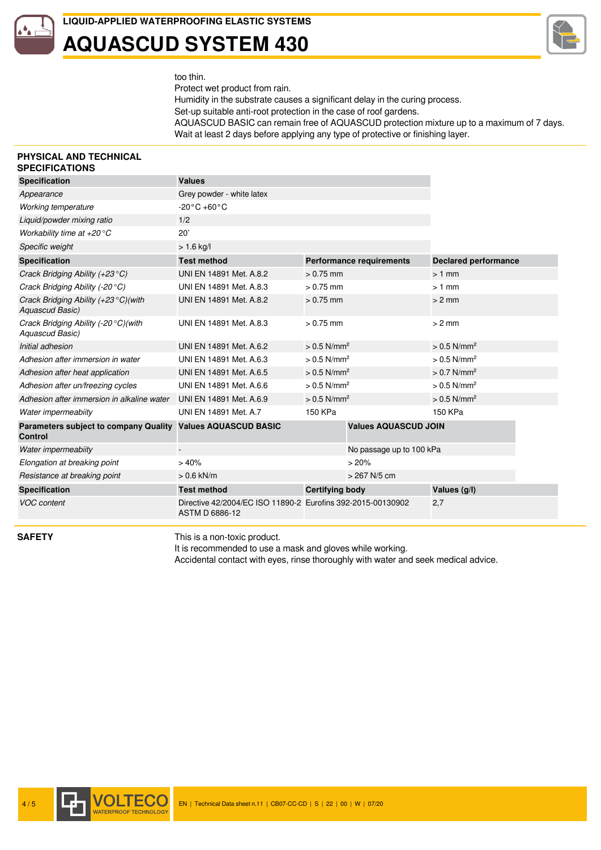### **LIQUID-APPLIED WATERPROOFING ELASTIC SYSTEMS AQUASCUD SYSTEM 430**



too thin.

Protect wet product from rain. Humidity in the substrate causes a significant delay in the curing process. Set-up suitable anti-root protection in the case of roof gardens. AQUASCUD BASIC can remain free of AQUASCUD protection mixture up to a maximum of 7 days. Wait at least 2 days before applying any type of protective or finishing layer.

#### **PHYSICAL AND TECHNICAL SPECIFICATIONS**

| <b>Specification</b>                                              | <b>Values</b>                                                                        |                                 |                             |                             |  |
|-------------------------------------------------------------------|--------------------------------------------------------------------------------------|---------------------------------|-----------------------------|-----------------------------|--|
| Appearance                                                        | Grey powder - white latex                                                            |                                 |                             |                             |  |
| <b>Working temperature</b>                                        | $-20\degree C + 60\degree C$                                                         |                                 |                             |                             |  |
| Liquid/powder mixing ratio                                        | 1/2                                                                                  |                                 |                             |                             |  |
| Workability time at $+20^{\circ}$ C                               | 20'                                                                                  |                                 |                             |                             |  |
| Specific weight                                                   | $> 1.6$ kg/l                                                                         |                                 |                             |                             |  |
| <b>Specification</b>                                              | <b>Test method</b>                                                                   | <b>Performance requirements</b> |                             | <b>Declared performance</b> |  |
| Crack Bridging Ability $(+23^{\circ}C)$                           | UNI EN 14891 Met. A.8.2                                                              | $> 0.75$ mm                     |                             | $>1$ mm                     |  |
| Crack Bridging Ability (-20 $\degree$ C)                          | UNI EN 14891 Met. A.8.3                                                              | $> 0.75$ mm                     |                             | $>1$ mm                     |  |
| Crack Bridging Ability $(+23 \degree C)$ (with<br>Aquascud Basic) | UNI EN 14891 Met. A.8.2                                                              | $> 0.75$ mm                     |                             | $> 2$ mm                    |  |
| Crack Bridging Ability $(-20 °C)$ (with<br>Aquascud Basic)        | UNI EN 14891 Met. A.8.3                                                              | $> 0.75$ mm                     |                             | $> 2$ mm                    |  |
| Initial adhesion                                                  | UNI EN 14891 Met. A.6.2                                                              | $> 0.5$ N/mm <sup>2</sup>       |                             | $> 0.5$ N/mm <sup>2</sup>   |  |
| Adhesion after immersion in water                                 | UNI EN 14891 Met. A.6.3                                                              | $> 0.5$ N/mm <sup>2</sup>       |                             | $> 0.5$ N/mm <sup>2</sup>   |  |
| Adhesion after heat application                                   | UNI EN 14891 Met. A.6.5                                                              | $> 0.5$ N/mm <sup>2</sup>       |                             | $> 0.7$ N/mm <sup>2</sup>   |  |
| Adhesion after un/freezing cycles                                 | UNI EN 14891 Met. A.6.6                                                              | $> 0.5$ N/mm <sup>2</sup>       |                             | $> 0.5$ N/mm <sup>2</sup>   |  |
| Adhesion after immersion in alkaline water                        | UNI EN 14891 Met. A.6.9<br>$> 0.5$ N/mm <sup>2</sup>                                 |                                 |                             | $> 0.5$ N/mm <sup>2</sup>   |  |
| Water impermeabiity                                               | UNI EN 14891 Met. A.7<br>150 KPa                                                     |                                 | 150 KPa                     |                             |  |
| <b>Parameters subject to company Quality</b><br>Control           | <b>Values AQUASCUD BASIC</b>                                                         |                                 | <b>Values AQUASCUD JOIN</b> |                             |  |
| Water impermeabiity                                               |                                                                                      |                                 | No passage up to 100 kPa    |                             |  |
| Elongation at breaking point                                      | >40%                                                                                 |                                 | >20%                        |                             |  |
| Resistance at breaking point                                      | $> 0.6$ kN/m                                                                         |                                 | > 267 N/5 cm                |                             |  |
| <b>Specification</b>                                              | <b>Test method</b>                                                                   | <b>Certifying body</b>          |                             | Values (q/l)                |  |
| <b>VOC</b> content                                                | Directive 42/2004/EC ISO 11890-2 Eurofins 392-2015-00130902<br><b>ASTM D 6886-12</b> |                                 |                             | 2,7                         |  |

**SAFETY** This is a non-toxic product.

It is recommended to use a mask and gloves while working.

Accidental contact with eyes, rinse thoroughly with water and seek medical advice.